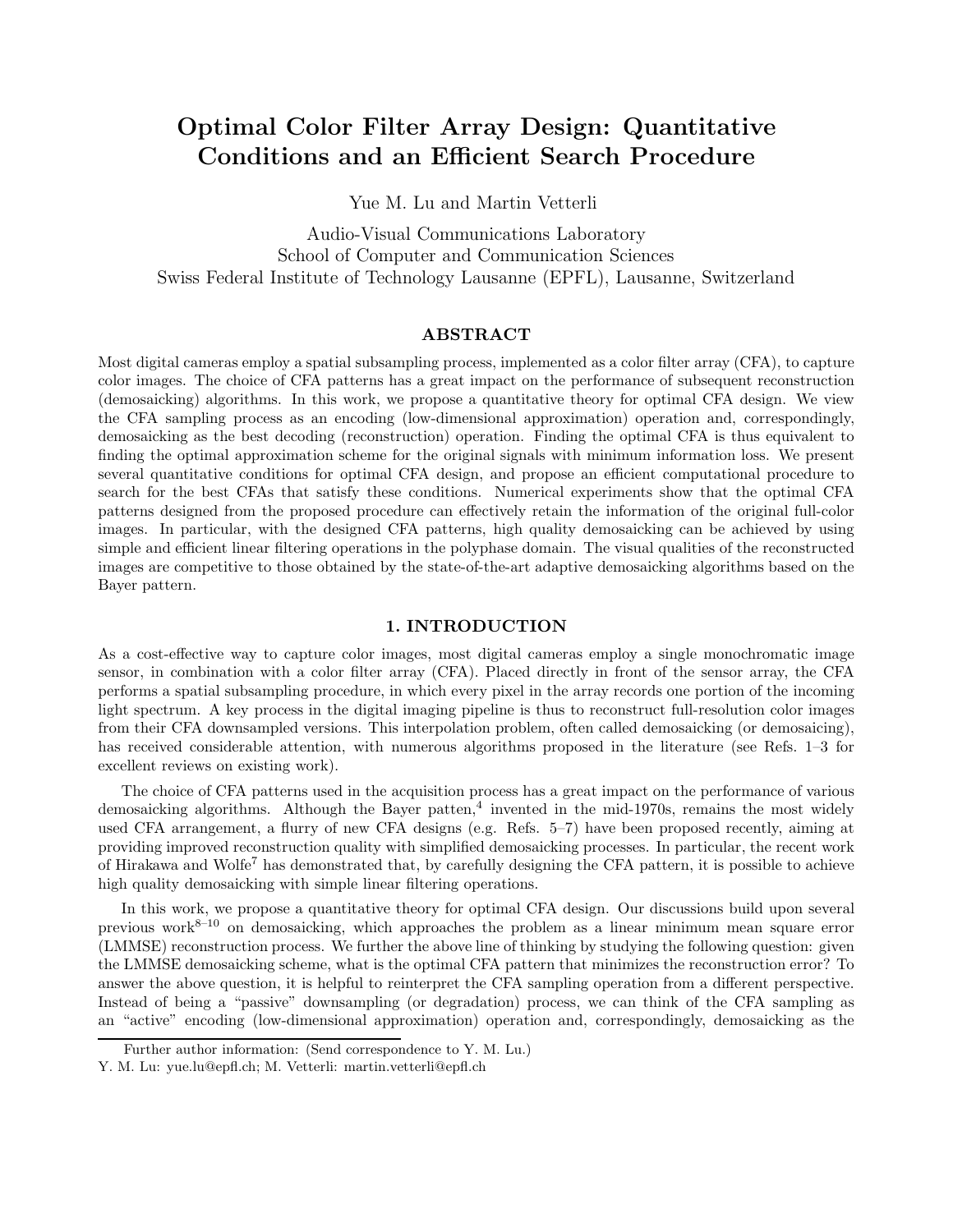# Optimal Color Filter Array Design: Quantitative Conditions and an Efficient Search Procedure

Yue M. Lu and Martin Vetterli

Audio-Visual Communications Laboratory School of Computer and Communication Sciences Swiss Federal Institute of Technology Lausanne (EPFL), Lausanne, Switzerland

# ABSTRACT

Most digital cameras employ a spatial subsampling process, implemented as a color filter array (CFA), to capture color images. The choice of CFA patterns has a great impact on the performance of subsequent reconstruction (demosaicking) algorithms. In this work, we propose a quantitative theory for optimal CFA design. We view the CFA sampling process as an encoding (low-dimensional approximation) operation and, correspondingly, demosaicking as the best decoding (reconstruction) operation. Finding the optimal CFA is thus equivalent to finding the optimal approximation scheme for the original signals with minimum information loss. We present several quantitative conditions for optimal CFA design, and propose an efficient computational procedure to search for the best CFAs that satisfy these conditions. Numerical experiments show that the optimal CFA patterns designed from the proposed procedure can effectively retain the information of the original full-color images. In particular, with the designed CFA patterns, high quality demosaicking can be achieved by using simple and efficient linear filtering operations in the polyphase domain. The visual qualities of the reconstructed images are competitive to those obtained by the state-of-the-art adaptive demosaicking algorithms based on the Bayer pattern.

# 1. INTRODUCTION

As a cost-effective way to capture color images, most digital cameras employ a single monochromatic image sensor, in combination with a color filter array (CFA). Placed directly in front of the sensor array, the CFA performs a spatial subsampling procedure, in which every pixel in the array records one portion of the incoming light spectrum. A key process in the digital imaging pipeline is thus to reconstruct full-resolution color images from their CFA downsampled versions. This interpolation problem, often called demosaicking (or demosaicing), has received considerable attention, with numerous algorithms proposed in the literature (see Refs. 1–3 for excellent reviews on existing work).

The choice of CFA patterns used in the acquisition process has a great impact on the performance of various demosaicking algorithms. Although the Bayer patten,<sup>4</sup> invented in the mid-1970s, remains the most widely used CFA arrangement, a flurry of new CFA designs (e.g. Refs. 5–7) have been proposed recently, aiming at providing improved reconstruction quality with simplified demosaicking processes. In particular, the recent work of Hirakawa and Wolfe<sup>7</sup> has demonstrated that, by carefully designing the CFA pattern, it is possible to achieve high quality demosaicking with simple linear filtering operations.

In this work, we propose a quantitative theory for optimal CFA design. Our discussions build upon several previous work<sup>8–10</sup> on demosaicking, which approaches the problem as a linear minimum mean square error (LMMSE) reconstruction process. We further the above line of thinking by studying the following question: given the LMMSE demosaicking scheme, what is the optimal CFA pattern that minimizes the reconstruction error? To answer the above question, it is helpful to reinterpret the CFA sampling operation from a different perspective. Instead of being a "passive" downsampling (or degradation) process, we can think of the CFA sampling as an "active" encoding (low-dimensional approximation) operation and, correspondingly, demosaicking as the

Further author information: (Send correspondence to Y. M. Lu.)

Y. M. Lu: yue.lu@epfl.ch; M. Vetterli: martin.vetterli@epfl.ch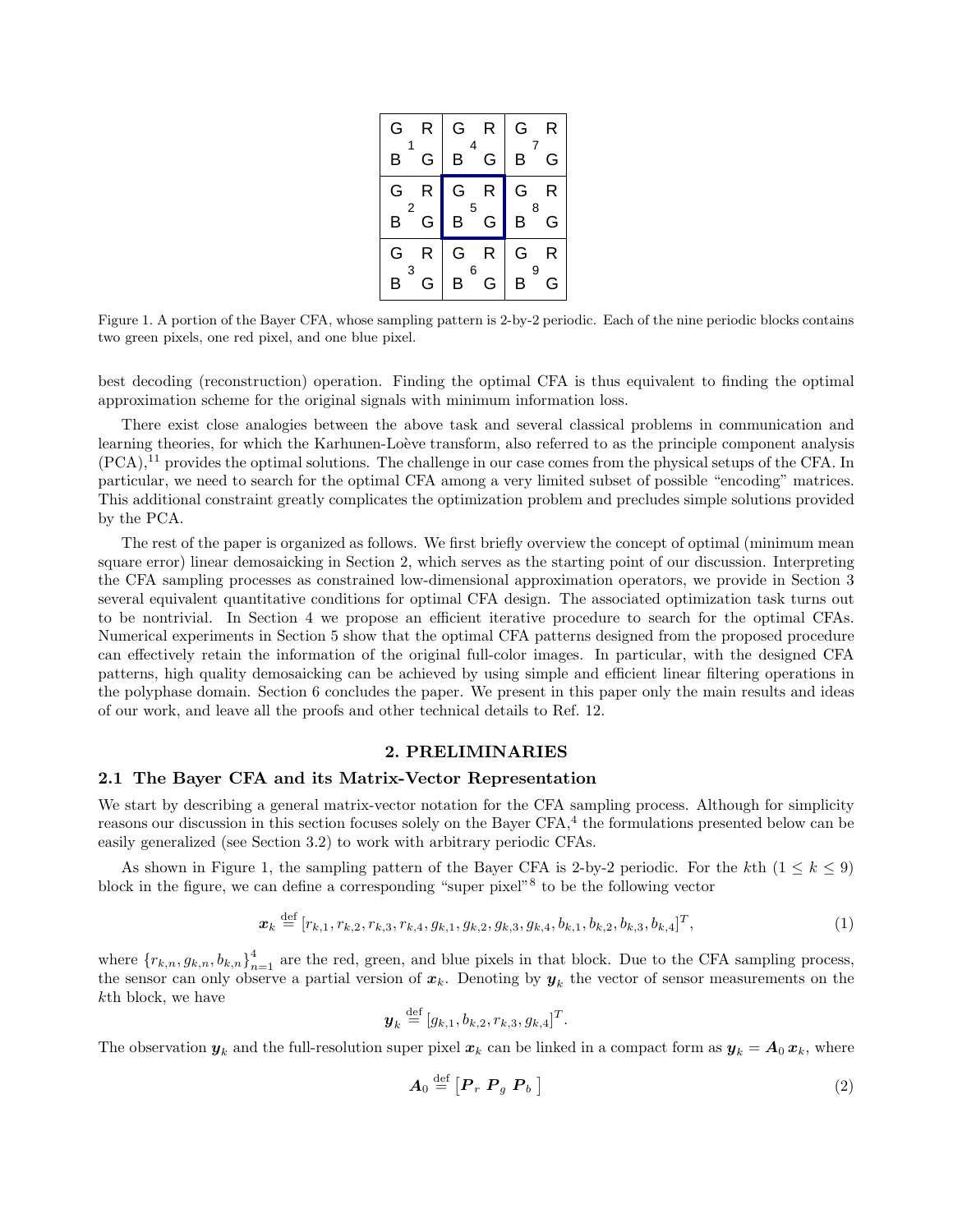| G                   | R | G      | R | G      | R |
|---------------------|---|--------|---|--------|---|
| B                   | G | 4<br>B | G | 7<br>в | G |
| G                   | R | G      | R | G      | R |
| $\overline{2}$<br>В | G | 5<br>В | G | 8<br>В | G |
| G.                  | R | G      | R | G      | R |
| 3<br>В              | G | 6<br>B | G | 9<br>В | G |

Figure 1. A portion of the Bayer CFA, whose sampling pattern is 2-by-2 periodic. Each of the nine periodic blocks contains two green pixels, one red pixel, and one blue pixel.

best decoding (reconstruction) operation. Finding the optimal CFA is thus equivalent to finding the optimal approximation scheme for the original signals with minimum information loss.

There exist close analogies between the above task and several classical problems in communication and learning theories, for which the Karhunen-Loève transform, also referred to as the principle component analysis  $(PCA)$ ,<sup>11</sup> provides the optimal solutions. The challenge in our case comes from the physical setups of the CFA. In particular, we need to search for the optimal CFA among a very limited subset of possible "encoding" matrices. This additional constraint greatly complicates the optimization problem and precludes simple solutions provided by the PCA.

The rest of the paper is organized as follows. We first briefly overview the concept of optimal (minimum mean square error) linear demosaicking in Section 2, which serves as the starting point of our discussion. Interpreting the CFA sampling processes as constrained low-dimensional approximation operators, we provide in Section 3 several equivalent quantitative conditions for optimal CFA design. The associated optimization task turns out to be nontrivial. In Section 4 we propose an efficient iterative procedure to search for the optimal CFAs. Numerical experiments in Section 5 show that the optimal CFA patterns designed from the proposed procedure can effectively retain the information of the original full-color images. In particular, with the designed CFA patterns, high quality demosaicking can be achieved by using simple and efficient linear filtering operations in the polyphase domain. Section 6 concludes the paper. We present in this paper only the main results and ideas of our work, and leave all the proofs and other technical details to Ref. 12.

# 2. PRELIMINARIES

### 2.1 The Bayer CFA and its Matrix-Vector Representation

We start by describing a general matrix-vector notation for the CFA sampling process. Although for simplicity reasons our discussion in this section focuses solely on the Bayer CFA,<sup>4</sup> the formulations presented below can be easily generalized (see Section 3.2) to work with arbitrary periodic CFAs.

As shown in Figure 1, the sampling pattern of the Bayer CFA is 2-by-2 periodic. For the kth  $(1 \leq k \leq 9)$ block in the figure, we can define a corresponding "super pixel"<sup>8</sup> to be the following vector

$$
\boldsymbol{x}_k \stackrel{\text{def}}{=} [r_{k,1}, r_{k,2}, r_{k,3}, r_{k,4}, g_{k,1}, g_{k,2}, g_{k,3}, g_{k,4}, b_{k,1}, b_{k,2}, b_{k,3}, b_{k,4}]^T, \tag{1}
$$

where  ${r_{k,n}, g_{k,n}, b_{k,n}}_{n=1}^4$  are the red, green, and blue pixels in that block. Due to the CFA sampling process, the sensor can only observe a partial version of  $x_k$ . Denoting by  $y_k$  the vector of sensor measurements on the kth block, we have

$$
\bm{y}_k \stackrel{\text{def}}{=} [g_{k,1}, b_{k,2}, r_{k,3}, g_{k,4}]^T.
$$

The observation  $y_k$  and the full-resolution super pixel  $x_k$  can be linked in a compact form as  $y_k = A_0 x_k$ , where

$$
A_0 \stackrel{\text{def}}{=} \left[ P_r \ P_g \ P_b \ \right] \tag{2}
$$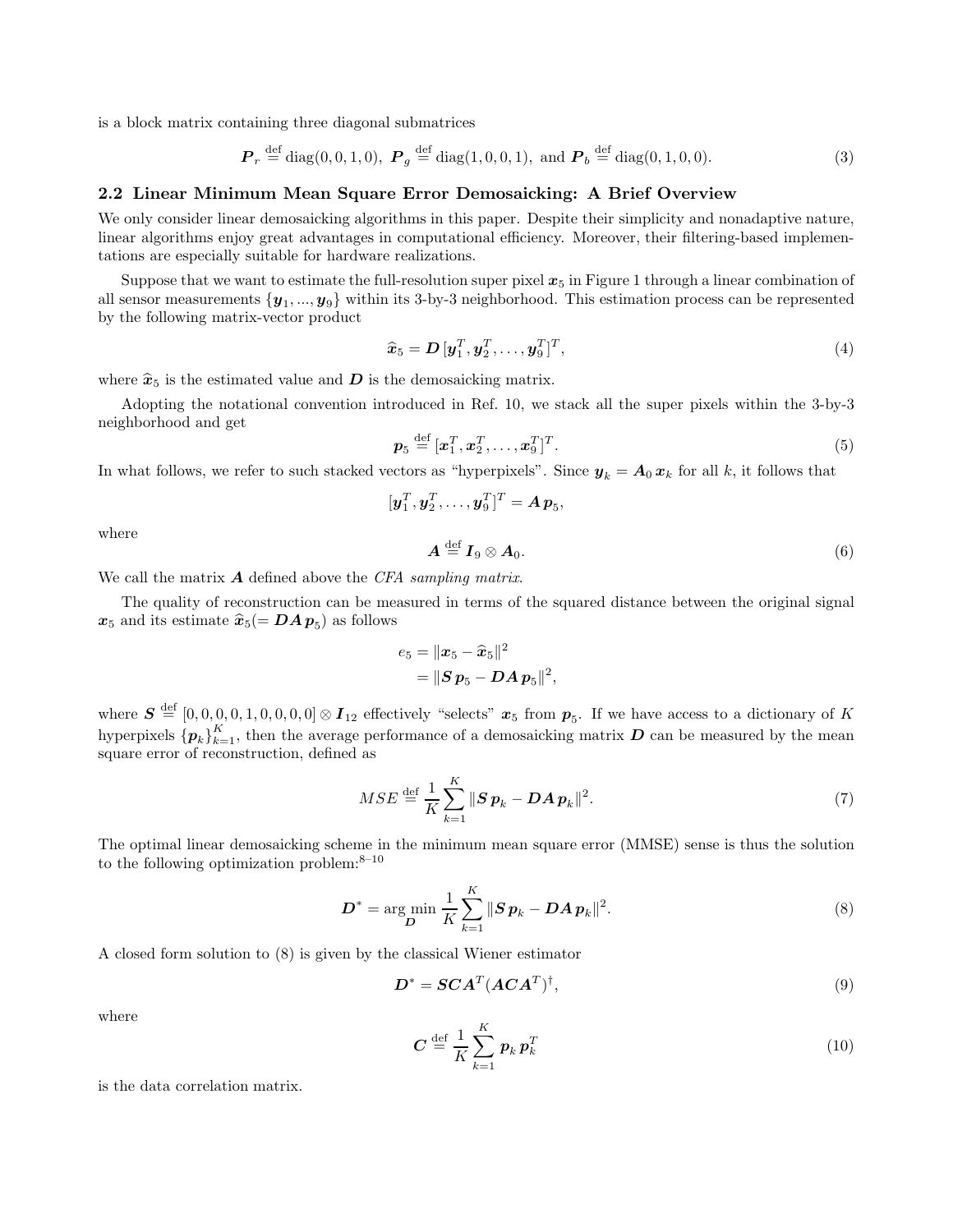is a block matrix containing three diagonal submatrices

$$
\boldsymbol{P}_r \stackrel{\text{def}}{=} \text{diag}(0, 0, 1, 0), \ \boldsymbol{P}_g \stackrel{\text{def}}{=} \text{diag}(1, 0, 0, 1), \text{ and } \boldsymbol{P}_b \stackrel{\text{def}}{=} \text{diag}(0, 1, 0, 0). \tag{3}
$$

#### 2.2 Linear Minimum Mean Square Error Demosaicking: A Brief Overview

We only consider linear demosaicking algorithms in this paper. Despite their simplicity and nonadaptive nature, linear algorithms enjoy great advantages in computational efficiency. Moreover, their filtering-based implementations are especially suitable for hardware realizations.

Suppose that we want to estimate the full-resolution super pixel  $x_5$  in Figure 1 through a linear combination of all sensor measurements  $\{y_1, ..., y_9\}$  within its 3-by-3 neighborhood. This estimation process can be represented by the following matrix-vector product

$$
\widehat{\boldsymbol{x}}_5 = \boldsymbol{D} \left[ \boldsymbol{y}_1^T, \boldsymbol{y}_2^T, \dots, \boldsymbol{y}_9^T \right]^T, \tag{4}
$$

where  $\hat{x}_5$  is the estimated value and  $D$  is the demosaicking matrix.

Adopting the notational convention introduced in Ref. 10, we stack all the super pixels within the 3-by-3 neighborhood and get

$$
\boldsymbol{p}_5 \stackrel{\text{def}}{=} [\boldsymbol{x}_1^T, \boldsymbol{x}_2^T, \dots, \boldsymbol{x}_9^T]^T. \tag{5}
$$

In what follows, we refer to such stacked vectors as "hyperpixels". Since  $y_k = A_0 x_k$  for all k, it follows that

$$
[\boldsymbol{y}_1^T, \boldsymbol{y}_2^T, \ldots, \boldsymbol{y}_9^T]^T = \boldsymbol{A} \, \boldsymbol{p}_5,
$$

where

$$
A \stackrel{\text{def}}{=} I_9 \otimes A_0. \tag{6}
$$

We call the matrix  $\boldsymbol{A}$  defined above the CFA sampling matrix.

The quality of reconstruction can be measured in terms of the squared distance between the original signal  $x_5$  and its estimate  $\widehat{x}_5 (= DAp_5)$  as follows

$$
\begin{aligned} e_5 &= \|\boldsymbol{x}_5-\widehat{\boldsymbol{x}}_5\|^2 \\ &= \|\boldsymbol{S}\,\boldsymbol{p}_5-\boldsymbol{D}\boldsymbol{A}\,\boldsymbol{p}_5\|^2, \end{aligned}
$$

where  $S \stackrel{\text{def}}{=} [0,0,0,0,0,0,0,0] \otimes I_{12}$  effectively "selects"  $x_5$  from  $p_5$ . If we have access to a dictionary of K hyperpixels  ${p_k}_{k=1}^K$ , then the average performance of a demosaicking matrix  $D$  can be measured by the mean square error of reconstruction, defined as

$$
MSE \stackrel{\text{def}}{=} \frac{1}{K} \sum_{k=1}^{K} ||\mathbf{S}\mathbf{p}_k - \mathbf{D}\mathbf{A}\mathbf{p}_k||^2. \tag{7}
$$

The optimal linear demosaicking scheme in the minimum mean square error (MMSE) sense is thus the solution to the following optimization problem: $8-10$ 

$$
D^* = \arg\min_{D} \frac{1}{K} \sum_{k=1}^{K} ||S \, p_k - D A \, p_k||^2. \tag{8}
$$

A closed form solution to (8) is given by the classical Wiener estimator

$$
\boldsymbol{D}^* = \boldsymbol{SCA}^T (\boldsymbol{ACA}^T)^\dagger,\tag{9}
$$

where

$$
\boldsymbol{C} \stackrel{\text{def}}{=} \frac{1}{K} \sum_{k=1}^{K} \boldsymbol{p}_k \, \boldsymbol{p}_k^T \tag{10}
$$

is the data correlation matrix.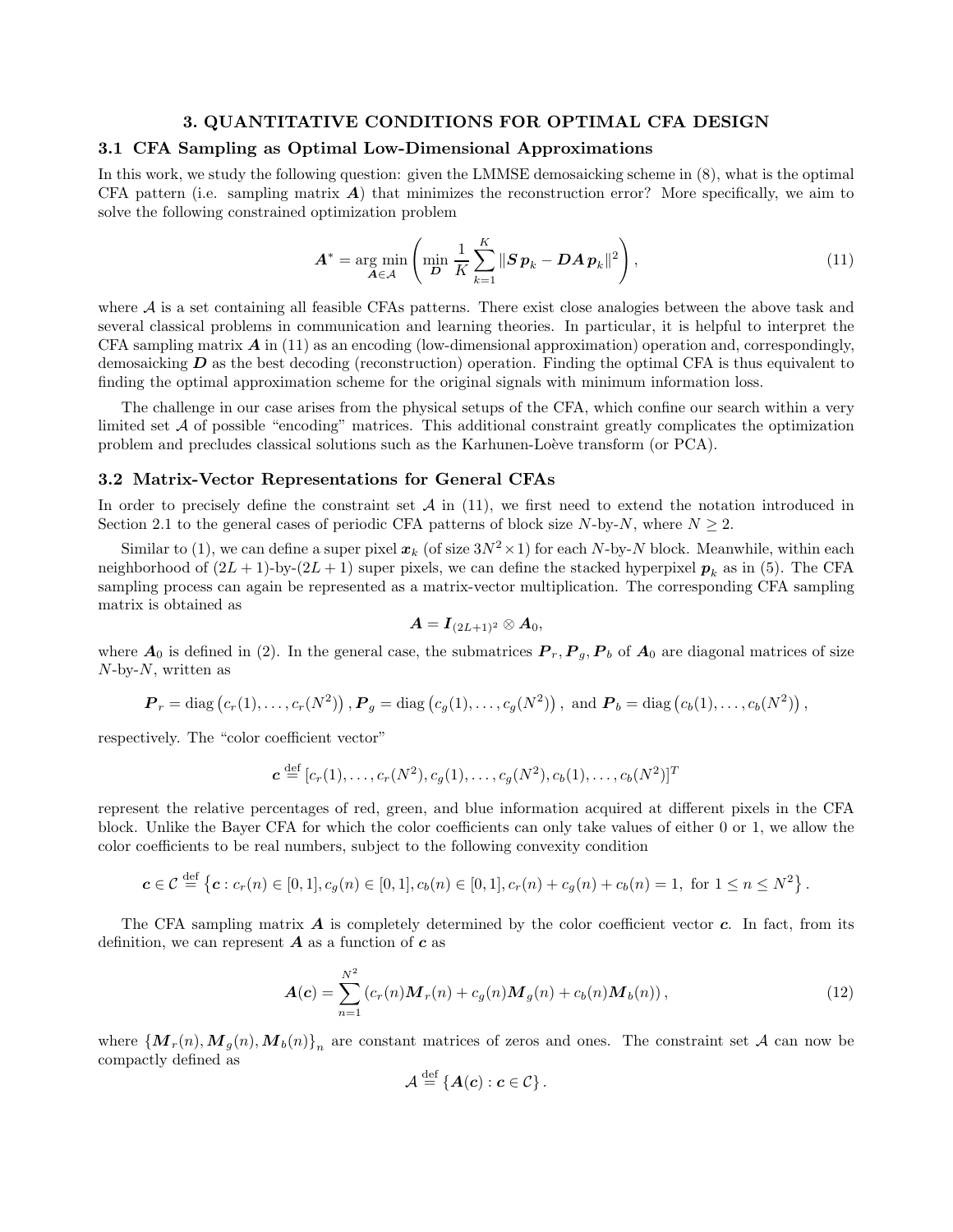# 3. QUANTITATIVE CONDITIONS FOR OPTIMAL CFA DESIGN

# 3.1 CFA Sampling as Optimal Low-Dimensional Approximations

In this work, we study the following question: given the LMMSE demosaicking scheme in (8), what is the optimal CFA pattern (i.e. sampling matrix  $\bf{A}$ ) that minimizes the reconstruction error? More specifically, we aim to solve the following constrained optimization problem

$$
\boldsymbol{A}^* = \underset{\boldsymbol{A}\in\mathcal{A}}{\arg\min} \left( \underset{\boldsymbol{D}}{\min} \frac{1}{K} \sum_{k=1}^K \|\boldsymbol{S}\,\boldsymbol{p}_k - \boldsymbol{D}\boldsymbol{A}\,\boldsymbol{p}_k\|^2 \right),\tag{11}
$$

where  $A$  is a set containing all feasible CFAs patterns. There exist close analogies between the above task and several classical problems in communication and learning theories. In particular, it is helpful to interpret the CFA sampling matrix  $\vec{A}$  in (11) as an encoding (low-dimensional approximation) operation and, correspondingly, demosaicking  $D$  as the best decoding (reconstruction) operation. Finding the optimal CFA is thus equivalent to finding the optimal approximation scheme for the original signals with minimum information loss.

The challenge in our case arises from the physical setups of the CFA, which confine our search within a very limited set A of possible "encoding" matrices. This additional constraint greatly complicates the optimization problem and precludes classical solutions such as the Karhunen-Loève transform (or PCA).

#### 3.2 Matrix-Vector Representations for General CFAs

In order to precisely define the constraint set  $A$  in (11), we first need to extend the notation introduced in Section 2.1 to the general cases of periodic CFA patterns of block size  $N$ -by- $N$ , where  $N > 2$ .

Similar to (1), we can define a super pixel  $x_k$  (of size  $3N^2 \times 1$ ) for each N-by-N block. Meanwhile, within each neighborhood of  $(2L + 1)$ -by- $(2L + 1)$  super pixels, we can define the stacked hyperpixel  $p_k$  as in (5). The CFA sampling process can again be represented as a matrix-vector multiplication. The corresponding CFA sampling matrix is obtained as

$$
\boldsymbol{A} = \boldsymbol{I}_{(2L+1)^2} \otimes \boldsymbol{A}_0,
$$

where  $A_0$  is defined in (2). In the general case, the submatrices  $P_r, P_q, P_b$  of  $A_0$  are diagonal matrices of size  $N$ -by- $N$ , written as

$$
\boldsymbol{P}_r = \text{diag}(c_r(1), \ldots, c_r(N^2)), \boldsymbol{P}_g = \text{diag}(c_g(1), \ldots, c_g(N^2)), \text{ and } \boldsymbol{P}_b = \text{diag}(c_b(1), \ldots, c_b(N^2)),
$$

respectively. The "color coefficient vector"

$$
\mathbf{c} \stackrel{\text{def}}{=} [c_r(1), \dots, c_r(N^2), c_g(1), \dots, c_g(N^2), c_b(1), \dots, c_b(N^2)]^T
$$

represent the relative percentages of red, green, and blue information acquired at different pixels in the CFA block. Unlike the Bayer CFA for which the color coefficients can only take values of either 0 or 1, we allow the color coefficients to be real numbers, subject to the following convexity condition

$$
\mathbf{c} \in \mathcal{C} \stackrel{\text{def}}{=} \left\{ \mathbf{c} : c_r(n) \in [0,1], c_g(n) \in [0,1], c_b(n) \in [0,1], c_r(n) + c_g(n) + c_b(n) = 1, \text{ for } 1 \le n \le N^2 \right\}.
$$

The CFA sampling matrix  $\vec{A}$  is completely determined by the color coefficient vector  $\vec{c}$ . In fact, from its definition, we can represent  $\bm{A}$  as a function of  $\bm{c}$  as

$$
\mathbf{A}(\mathbf{c}) = \sum_{n=1}^{N^2} \left( c_r(n) \mathbf{M}_r(n) + c_g(n) \mathbf{M}_g(n) + c_b(n) \mathbf{M}_b(n) \right),\tag{12}
$$

where  $\{M_r(n), M_g(n), M_b(n)\}\$ <sub>n</sub> are constant matrices of zeros and ones. The constraint set A can now be compactly defined as

$$
\mathcal{A} \stackrel{\text{def}}{=} \{A(c) : c \in \mathcal{C}\}.
$$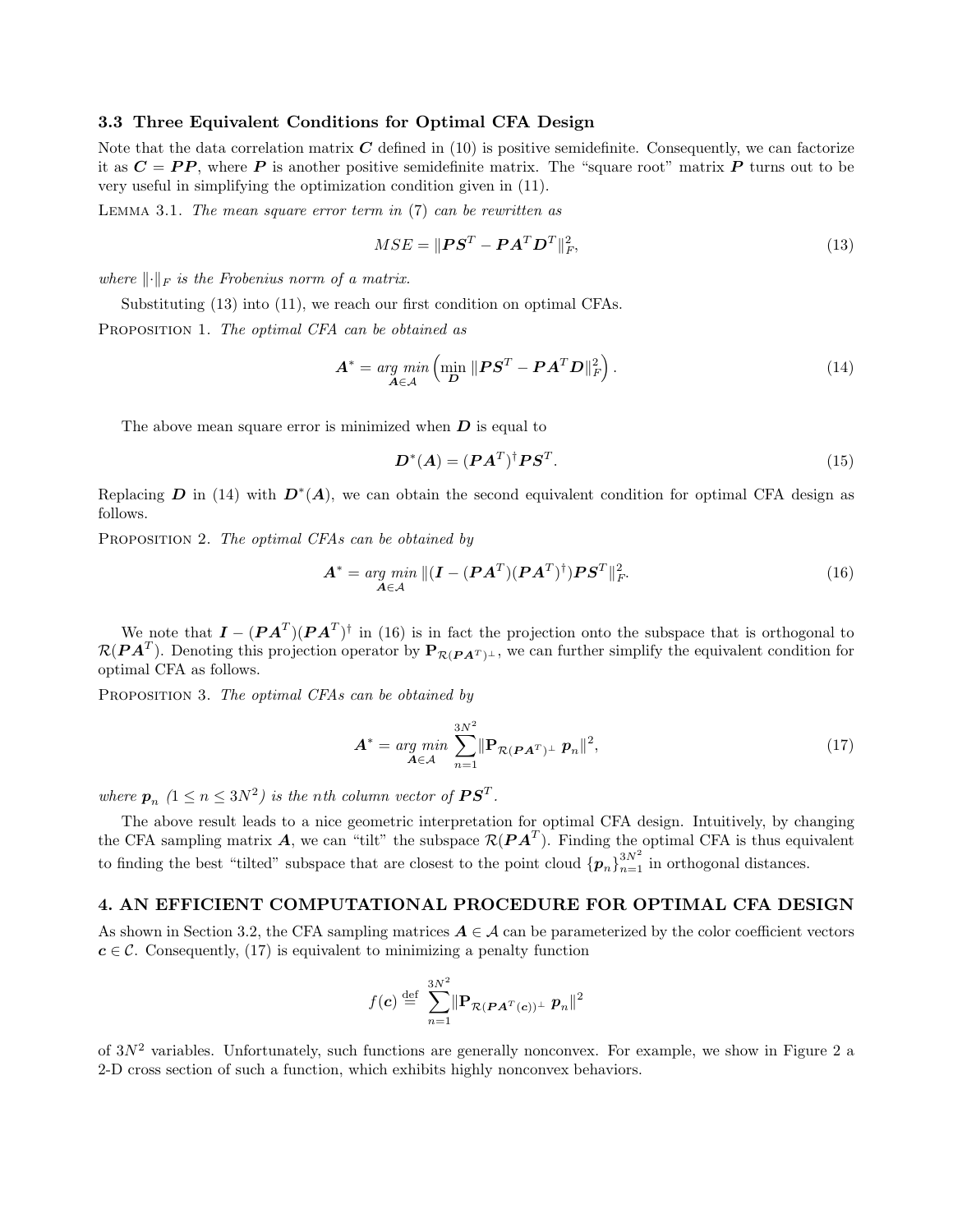#### 3.3 Three Equivalent Conditions for Optimal CFA Design

Note that the data correlation matrix  $C$  defined in (10) is positive semidefinite. Consequently, we can factorize it as  $C = PP$ , where P is another positive semidefinite matrix. The "square root" matrix P turns out to be very useful in simplifying the optimization condition given in (11).

LEMMA 3.1. The mean square error term in  $(7)$  can be rewritten as

$$
MSE = \|\boldsymbol{P}\boldsymbol{S}^T - \boldsymbol{P}\boldsymbol{A}^T \boldsymbol{D}^T\|_F^2, \tag{13}
$$

where  $\lVert \cdot \rVert_F$  is the Frobenius norm of a matrix.

Substituting  $(13)$  into  $(11)$ , we reach our first condition on optimal CFAs.

PROPOSITION 1. The optimal CFA can be obtained as

$$
\mathbf{A}^* = \underset{\mathbf{A} \in \mathcal{A}}{\arg \min} \left( \underset{\mathbf{D}}{\min} \ \|\mathbf{P}\mathbf{S}^T - \mathbf{P}\mathbf{A}^T \mathbf{D}\|_F^2 \right). \tag{14}
$$

The above mean square error is minimized when  $D$  is equal to

$$
\boldsymbol{D}^*(\boldsymbol{A}) = (\boldsymbol{P}\boldsymbol{A}^T)^{\dagger} \boldsymbol{P}\boldsymbol{S}^T. \tag{15}
$$

Replacing D in (14) with  $D^*(A)$ , we can obtain the second equivalent condition for optimal CFA design as follows.

PROPOSITION 2. The optimal CFAs can be obtained by

$$
\mathbf{A}^* = \underset{\mathbf{A} \in \mathcal{A}}{\arg \ min} \, \| (\mathbf{I} - (\mathbf{P}\mathbf{A}^T)(\mathbf{P}\mathbf{A}^T)^{\dagger}) \mathbf{P} \mathbf{S}^T \|_F^2. \tag{16}
$$

We note that  $I - (P A^T)(P A^T)^{\dagger}$  in (16) is in fact the projection onto the subspace that is orthogonal to  $\mathcal{R}(P A^T)$ . Denoting this projection operator by  $\mathbf{P}_{\mathcal{R}(P A^T)^{\perp}}$ , we can further simplify the equivalent condition for optimal CFA as follows.

PROPOSITION 3. The optimal CFAs can be obtained by

$$
\mathbf{A}^* = \underset{\mathbf{A} \in \mathcal{A}}{\arg \min} \sum_{n=1}^{3N^2} \|\mathbf{P}_{\mathcal{R}(\mathbf{P}\mathbf{A}^T)^{\perp}} \mathbf{p}_n\|^2, \tag{17}
$$

where  $p_n$   $(1 \le n \le 3N^2)$  is the nth column vector of  $\boldsymbol{P}\boldsymbol{S}^T$ .

The above result leads to a nice geometric interpretation for optimal CFA design. Intuitively, by changing the CFA sampling matrix  $A$ , we can "tilt" the subspace  $\mathcal{R}(PA^T)$ . Finding the optimal CFA is thus equivalent to finding the best "tilted" subspace that are closest to the point cloud  $\{p_n\}_{n=1}^{3N^2}$  in orthogonal distances.

# 4. AN EFFICIENT COMPUTATIONAL PROCEDURE FOR OPTIMAL CFA DESIGN

As shown in Section 3.2, the CFA sampling matrices  $A \in \mathcal{A}$  can be parameterized by the color coefficient vectors  $c \in \mathcal{C}$ . Consequently, (17) is equivalent to minimizing a penalty function

$$
f(\mathbf{c}) \stackrel{\text{def}}{=} \sum_{n=1}^{3N^2} \|\mathbf{P}_{\mathcal{R}(\boldsymbol{P}\boldsymbol{A}^T(\mathbf{c}))^\perp} \boldsymbol{p}_n\|^2
$$

of  $3N^2$  variables. Unfortunately, such functions are generally nonconvex. For example, we show in Figure 2 a 2-D cross section of such a function, which exhibits highly nonconvex behaviors.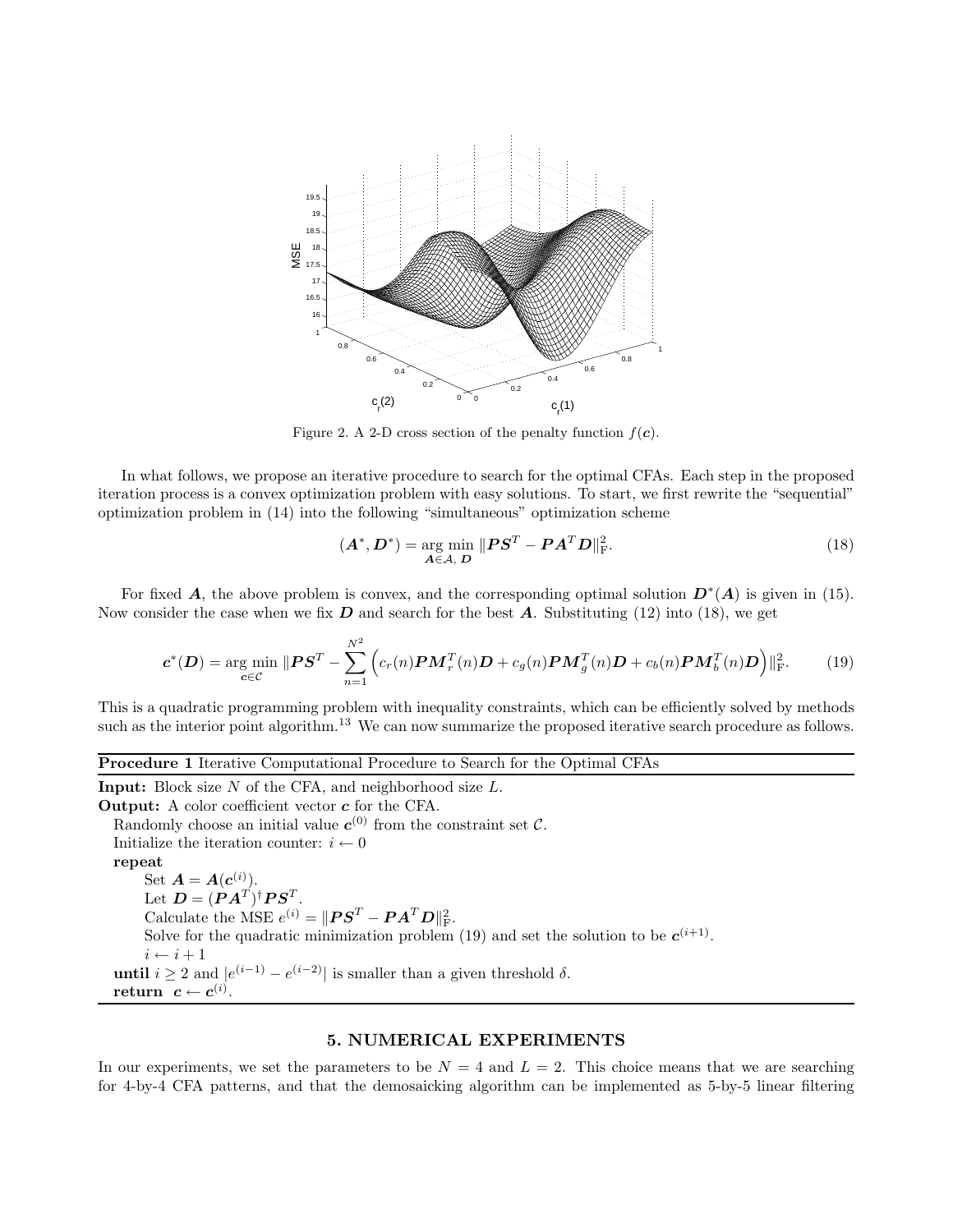

Figure 2. A 2-D cross section of the penalty function  $f(c)$ .

In what follows, we propose an iterative procedure to search for the optimal CFAs. Each step in the proposed iteration process is a convex optimization problem with easy solutions. To start, we first rewrite the "sequential" optimization problem in (14) into the following "simultaneous" optimization scheme

$$
(\boldsymbol{A}^*, \boldsymbol{D}^*) = \underset{\boldsymbol{A} \in \mathcal{A}, \boldsymbol{D}}{\arg \min} \|\boldsymbol{P}\boldsymbol{S}^T - \boldsymbol{P}\boldsymbol{A}^T\boldsymbol{D}\|_{\text{F}}^2.
$$
 (18)

For fixed **A**, the above problem is convex, and the corresponding optimal solution  $D^*(A)$  is given in (15). Now consider the case when we fix  $D$  and search for the best  $A$ . Substituting (12) into (18), we get

$$
\boldsymbol{c}^*(\boldsymbol{D}) = \underset{\boldsymbol{c}\in\mathcal{C}}{\arg\min} \|\boldsymbol{P}\boldsymbol{S}^T - \sum_{n=1}^{N^2} \left( c_r(n)\boldsymbol{P}\boldsymbol{M}_r^T(n)\boldsymbol{D} + c_g(n)\boldsymbol{P}\boldsymbol{M}_g^T(n)\boldsymbol{D} + c_b(n)\boldsymbol{P}\boldsymbol{M}_b^T(n)\boldsymbol{D} \right)\|_{\text{F}}^2. \tag{19}
$$

This is a quadratic programming problem with inequality constraints, which can be efficiently solved by methods such as the interior point algorithm.<sup>13</sup> We can now summarize the proposed iterative search procedure as follows.

#### Procedure 1 Iterative Computational Procedure to Search for the Optimal CFAs

Input: Block size  $N$  of the CFA, and neighborhood size  $L$ . Output: A color coefficient vector c for the CFA. Randomly choose an initial value  $c^{(0)}$  from the constraint set C. Initialize the iteration counter:  $i \leftarrow 0$ repeat Set  $\boldsymbol{A} = \boldsymbol{A}(\boldsymbol{c}^{(i)})$ . Let  $\boldsymbol{D} = (\boldsymbol{P}\boldsymbol{A}^T)^{\dagger}\boldsymbol{P}\boldsymbol{S}^T.$ Calculate the MSE  $e^{(i)} = ||\boldsymbol{P}\boldsymbol{S}^T - \boldsymbol{P}\boldsymbol{A}^T\boldsymbol{D}||^2_{\text{F}}.$ Solve for the quadratic minimization problem (19) and set the solution to be  $c^{(i+1)}$ .  $i \leftarrow i + 1$ until  $i \geq 2$  and  $|e^{(i-1)} - e^{(i-2)}|$  is smaller than a given threshold  $\delta$ .  $\textbf{return} \;\; \bm{c} \leftarrow \bm{c}^{(i)}.$ 

#### 5. NUMERICAL EXPERIMENTS

In our experiments, we set the parameters to be  $N = 4$  and  $L = 2$ . This choice means that we are searching for 4-by-4 CFA patterns, and that the demosaicking algorithm can be implemented as 5-by-5 linear filtering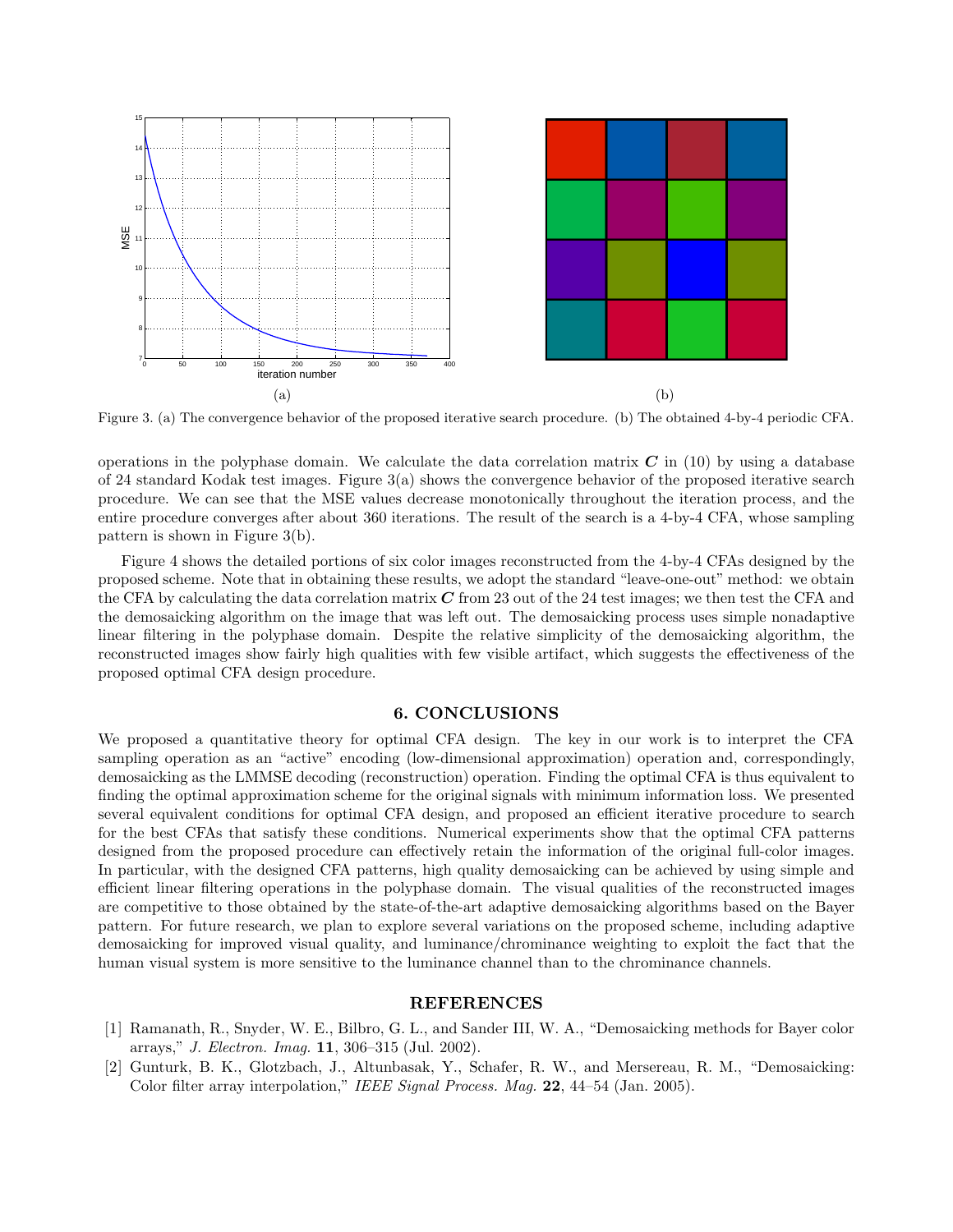

Figure 3. (a) The convergence behavior of the proposed iterative search procedure. (b) The obtained 4-by-4 periodic CFA.

operations in the polyphase domain. We calculate the data correlation matrix  $C$  in (10) by using a database of 24 standard Kodak test images. Figure 3(a) shows the convergence behavior of the proposed iterative search procedure. We can see that the MSE values decrease monotonically throughout the iteration process, and the entire procedure converges after about 360 iterations. The result of the search is a 4-by-4 CFA, whose sampling pattern is shown in Figure 3(b).

Figure 4 shows the detailed portions of six color images reconstructed from the 4-by-4 CFAs designed by the proposed scheme. Note that in obtaining these results, we adopt the standard "leave-one-out" method: we obtain the CFA by calculating the data correlation matrix  $C$  from 23 out of the 24 test images; we then test the CFA and the demosaicking algorithm on the image that was left out. The demosaicking process uses simple nonadaptive linear filtering in the polyphase domain. Despite the relative simplicity of the demosaicking algorithm, the reconstructed images show fairly high qualities with few visible artifact, which suggests the effectiveness of the proposed optimal CFA design procedure.

#### 6. CONCLUSIONS

We proposed a quantitative theory for optimal CFA design. The key in our work is to interpret the CFA sampling operation as an "active" encoding (low-dimensional approximation) operation and, correspondingly, demosaicking as the LMMSE decoding (reconstruction) operation. Finding the optimal CFA is thus equivalent to finding the optimal approximation scheme for the original signals with minimum information loss. We presented several equivalent conditions for optimal CFA design, and proposed an efficient iterative procedure to search for the best CFAs that satisfy these conditions. Numerical experiments show that the optimal CFA patterns designed from the proposed procedure can effectively retain the information of the original full-color images. In particular, with the designed CFA patterns, high quality demosaicking can be achieved by using simple and efficient linear filtering operations in the polyphase domain. The visual qualities of the reconstructed images are competitive to those obtained by the state-of-the-art adaptive demosaicking algorithms based on the Bayer pattern. For future research, we plan to explore several variations on the proposed scheme, including adaptive demosaicking for improved visual quality, and luminance/chrominance weighting to exploit the fact that the human visual system is more sensitive to the luminance channel than to the chrominance channels.

# REFERENCES

- [1] Ramanath, R., Snyder, W. E., Bilbro, G. L., and Sander III, W. A., "Demosaicking methods for Bayer color arrays," J. Electron. Imag. 11, 306–315 (Jul. 2002).
- [2] Gunturk, B. K., Glotzbach, J., Altunbasak, Y., Schafer, R. W., and Mersereau, R. M., "Demosaicking: Color filter array interpolation," IEEE Signal Process. Mag. 22, 44-54 (Jan. 2005).